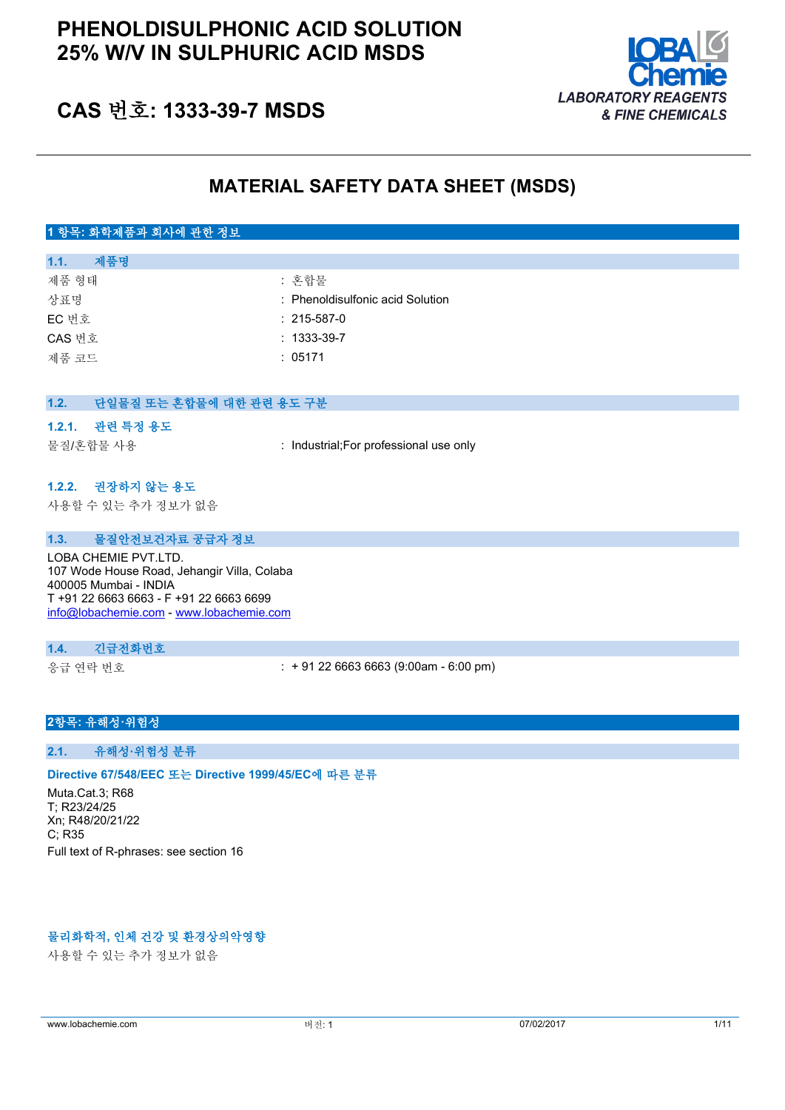# **PHENOLDISULPHONIC ACID SOLUTION 25% W/V IN SULPHURIC ACID MSDS**



# **CAS 번호: 1333-39-7 MSDS**

## **MATERIAL SAFETY DATA SHEET (MSDS)**

## **1 항목: 화학제품과 회사에 관한 정보**

| 제품명<br>1.1. |                                  |
|-------------|----------------------------------|
| 제품 형태       | : 혼합물                            |
| 상표명         | : Phenoldisulfonic acid Solution |
| EC 번호       | $: 215 - 587 - 0$                |
| CAS 번호      | $: 1333 - 39 - 7$                |
| 제품 코드       | : 05171                          |

| 1.2. | 단일물질 또는 혼합물에 대한 관련 용도 구분 |                                         |
|------|--------------------------|-----------------------------------------|
|      |                          |                                         |
|      | 1.2.1. 관련 특정 용도          |                                         |
|      | 물질/혼합물 사용                | : Industrial; For professional use only |
|      |                          |                                         |
|      | 1.2.2. 권장하지 않는 용도        |                                         |
|      | 사용할 수 있는 추가 정보가 없음       |                                         |

#### **1.3. 물질안전보건자료 공급자 정보**

LOBA CHEMIE PVT.LTD. 107 Wode House Road, Jehangir Villa, Colaba 400005 Mumbai - INDIA T +91 22 6663 6663 - F +91 22 6663 6699 [info@lobachemie.com](mailto:info@lobachemie.com) - <www.lobachemie.com>

#### **1.4. 긴급전화번호**

응급 연락 번호 : + 91 22 6663 6663 (9:00am - 6:00 pm)

#### **2항목: 유해성·위험성**

#### **2.1. 유해성·위험성 분류**

#### **Directive 67/548/EEC 또는 Directive 1999/45/EC에 따른 분류**

Muta.Cat.3; R68 T; R23/24/25 Xn; R48/20/21/22  $C$ : R35 Full text of R-phrases: see section 16

## **물리화학적, 인체 건강 및 환경상의악영향**

사용할 수 있는 추가 정보가 없음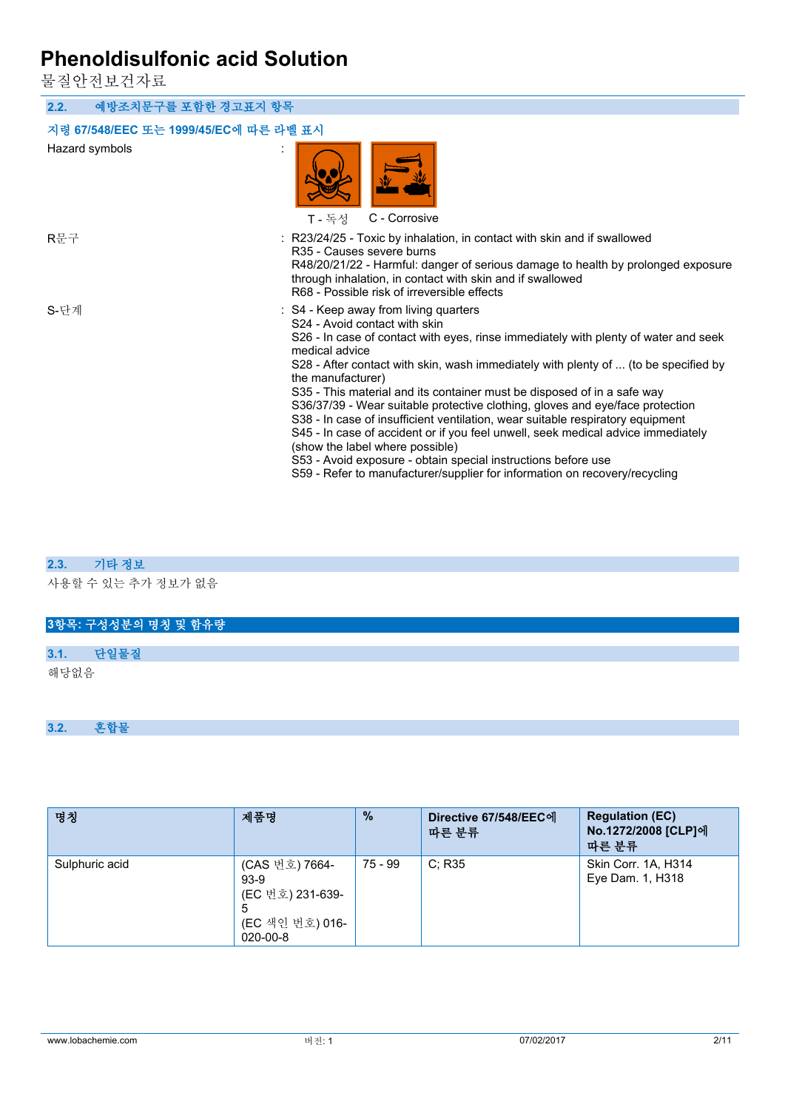물질안전보건자료

**2.2. 예방조치문구를 포함한 경고표지 항목 지령 67/548/EEC 또는 1999/45/EC에 따른 라벨 표시** Hazard symbols : T - 독성 C - Corrosive R문구 : R23/24/25 - Toxic by inhalation, in contact with skin and if swallowed R35 - Causes severe burns R48/20/21/22 - Harmful: danger of serious damage to health by prolonged exposure through inhalation, in contact with skin and if swallowed R68 - Possible risk of irreversible effects S-단계 : S4 - Keep away from living quarters S24 - Avoid contact with skin S26 - In case of contact with eyes, rinse immediately with plenty of water and seek medical advice S28 - After contact with skin, wash immediately with plenty of ... (to be specified by the manufacturer) S35 - This material and its container must be disposed of in a safe way S36/37/39 - Wear suitable protective clothing, gloves and eye/face protection S38 - In case of insufficient ventilation, wear suitable respiratory equipment S45 - In case of accident or if you feel unwell, seek medical advice immediately (show the label where possible) S53 - Avoid exposure - obtain special instructions before use S59 - Refer to manufacturer/supplier for information on recovery/recycling

#### **2.3. 기타 정보**

사용할 수 있는 추가 정보가 없음

#### **3항목: 구성성분의 명칭 및 함유량**

| ה ו הרו- |  |
|----------|--|

해당없음

#### **3.2. 혼합물**

| 명칭             | 제품명                                                                                    | $\%$    | Directive 67/548/EEC에<br>따른 분류 | <b>Regulation (EC)</b><br>No.1272/2008 [CLP]에<br>따른 분류 |
|----------------|----------------------------------------------------------------------------------------|---------|--------------------------------|--------------------------------------------------------|
| Sulphuric acid | (CAS 번호) 7664-<br>$93-9$<br>(EC 번호) 231-639-<br>5<br>(EC 색인 번호) 016-<br>$020 - 00 - 8$ | 75 - 99 | C: R35                         | Skin Corr. 1A, H314<br>Eye Dam. 1, H318                |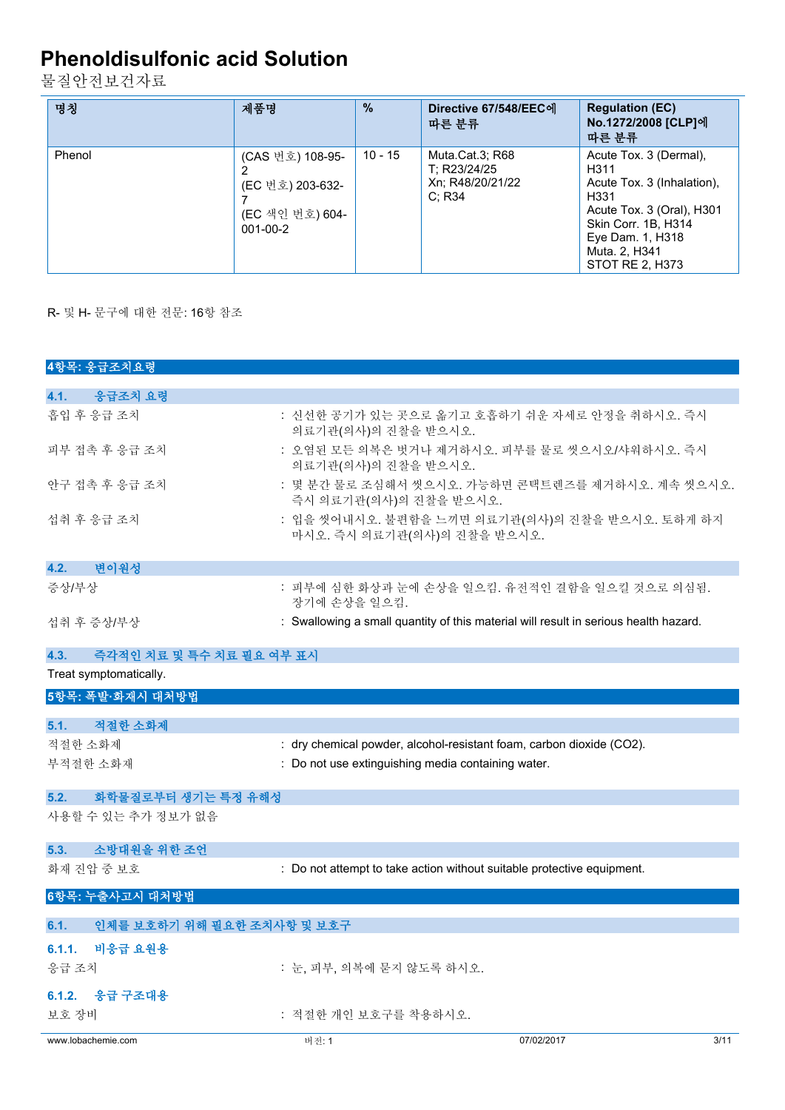물질안전보건자료

| 명칭     | 제품명                                                                       | $\frac{9}{6}$ | Directive 67/548/EEC에<br>따른 분류                                | <b>Regulation (EC)</b><br>No.1272/2008 [CLP]에<br>따른 분류                                                                                                                                        |
|--------|---------------------------------------------------------------------------|---------------|---------------------------------------------------------------|-----------------------------------------------------------------------------------------------------------------------------------------------------------------------------------------------|
| Phenol | (CAS 번호) 108-95-<br>(EC 번호) 203-632-<br>(EC 색인 번호) 604-<br>$001 - 00 - 2$ | $10 - 15$     | Muta.Cat.3; R68<br>T: R23/24/25<br>Xn; R48/20/21/22<br>C: R34 | Acute Tox. 3 (Dermal),<br>H <sub>3</sub> 11<br>Acute Tox. 3 (Inhalation).<br>H331<br>Acute Tox. 3 (Oral), H301<br>Skin Corr. 1B, H314<br>Eye Dam. 1, H318<br>Muta. 2, H341<br>STOT RE 2, H373 |

R- 및 H- 문구에 대한 전문: 16항 참조

| 4항목: 응급조치요령                        |                                                                        |                                                                                      |
|------------------------------------|------------------------------------------------------------------------|--------------------------------------------------------------------------------------|
|                                    |                                                                        |                                                                                      |
| 4.1.<br>응급조치 요령                    |                                                                        |                                                                                      |
| 흡입 후 응급 조치                         | 의료기관(의사)의 진찰을 받으시오.                                                    | : 신선한 공기가 있는 곳으로 옮기고 호흡하기 쉬운 자세로 안정을 취하시오. 즉시                                        |
| 피부 접촉 후 응급 조치                      | 의료기관(의사)의 진찰을 받으시오.                                                    | : 오염된 모든 의복은 벗거나 제거하시오. 피부를 물로 씻으시오/샤워하시오. 즉시                                        |
| 안구 접촉 후 응급 조치                      | 즉시 의료기관(의사)의 진찰을 받으시오.                                                 | : 몇 분간 물로 조심해서 씻으시오. 가능하면 콘택트렌즈를 제거하시오. 계속 씻으시오.                                     |
| 섭취 후 응급 조치                         | 마시오. 즉시 의료기관(의사)의 진찰을 받으시오.                                            | : 입을 씻어내시오. 불편함을 느끼면 의료기관(의사)의 진찰을 받으시오. 토하게 하지                                      |
| 변이원성<br>4.2.                       |                                                                        |                                                                                      |
| 증상/부상                              | 장기에 손상을 일으킴.                                                           | : 피부에 심한 화상과 눈에 손상을 일으킴. 유전적인 결함을 일으킬 것으로 의심됨.                                       |
| 섭취 후 증상/부상                         |                                                                        | : Swallowing a small quantity of this material will result in serious health hazard. |
| 즉각적인 치료 및 특수 치료 필요 여부 표시           |                                                                        |                                                                                      |
| 4.3.<br>Treat symptomatically.     |                                                                        |                                                                                      |
|                                    |                                                                        |                                                                                      |
| 5항목: 폭발·화재시 대처방법                   |                                                                        |                                                                                      |
| 5.1.<br>적절한 소화제                    |                                                                        |                                                                                      |
| 적절한 소화제                            | : dry chemical powder, alcohol-resistant foam, carbon dioxide (CO2).   |                                                                                      |
| 부적절한 소화재                           | : Do not use extinguishing media containing water.                     |                                                                                      |
|                                    |                                                                        |                                                                                      |
| 화학물질로부터 생기는 특정 유해성<br>5.2.         |                                                                        |                                                                                      |
| 사용할 수 있는 추가 정보가 없음                 |                                                                        |                                                                                      |
| 소방대원을 위한 조언<br>5.3.                |                                                                        |                                                                                      |
| 화재 진압 중 보호                         | : Do not attempt to take action without suitable protective equipment. |                                                                                      |
| 6항목: 누출사고시 대처방법                    |                                                                        |                                                                                      |
| 인체를 보호하기 위해 필요한 조치사항 및 보호구<br>6.1. |                                                                        |                                                                                      |
| 6.1.1. 비응급 요원용                     |                                                                        |                                                                                      |
| 응급 조치                              | : 눈, 피부, 의복에 묻지 않도록 하시오.                                               |                                                                                      |
| 6.1.2. 응급 구조대용                     |                                                                        |                                                                                      |
| 보호 장비                              | : 적절한 개인 보호구를 착용하시오.                                                   |                                                                                      |
| www.lobachemie.com                 | 버전: 1                                                                  | 07/02/2017<br>3/11                                                                   |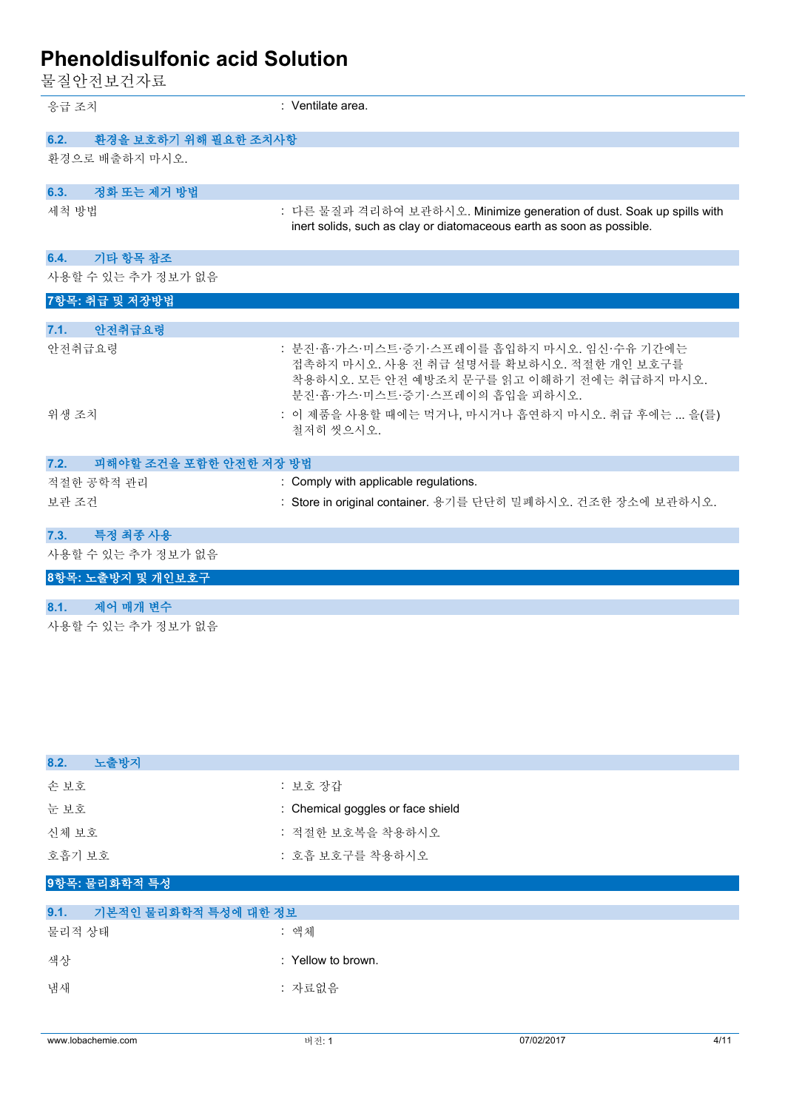-<br>물질안전보건자료

| .                              |                                                                                                                                                                           |
|--------------------------------|---------------------------------------------------------------------------------------------------------------------------------------------------------------------------|
| 응급 조치                          | : Ventilate area.                                                                                                                                                         |
| 환경을 보호하기 위해 필요한 조치사항<br>6.2.   |                                                                                                                                                                           |
| 환경으로 배출하지 마시오.                 |                                                                                                                                                                           |
| 6.3.<br>정화 또는 제거 방법            |                                                                                                                                                                           |
| 세척 방법                          | : 다른 물질과 격리하여 보관하시오. Minimize generation of dust. Soak up spills with<br>inert solids, such as clay or diatomaceous earth as soon as possible.                            |
| 기타 항목 참조<br>6.4.               |                                                                                                                                                                           |
| 사용할 수 있는 추가 정보가 없음             |                                                                                                                                                                           |
| 7항목: 취급 및 저장방법                 |                                                                                                                                                                           |
| 안전취급요령<br>7.1.                 |                                                                                                                                                                           |
| 안전취급요령                         | : 분진·흄·가스·미스트·증기·스프레이를 흡입하지 마시오. 임신·수유 기간에는<br>접촉하지 마시오. 사용 전 취급 설명서를 확보하시오. 적절한 개인 보호구를<br>착용하시오. 모든 안전 예방조치 문구를 읽고 이해하기 전에는 취급하지 마시오.<br>분진·흄·가스·미스트·증기·스프레이의 흡입을 피하시오. |
| 위생 조치                          | : 이 제품을 사용할 때에는 먹거나, 마시거나 흡연하지 마시오. 취급 후에는  을(를)<br>철저히 씻으시오.                                                                                                             |
| 피해야할 조건을 포함한 안전한 저장 방법<br>7.2. |                                                                                                                                                                           |
| 적절한 공학적 관리                     | : Comply with applicable regulations.                                                                                                                                     |
| 보관 조건                          | : Store in original container. 용기를 단단히 밀폐하시오. 건조한 장소에 보관하시오.                                                                                                              |
| 특정 최종 사용<br>7.3.               |                                                                                                                                                                           |
| 사용할 수 있는 추가 정보가 없음             |                                                                                                                                                                           |
| 8항목: 노출방지 및 개인보호구              |                                                                                                                                                                           |
| 제어 매개 변수<br>8.1.               |                                                                                                                                                                           |
| 사용할 수 있는 추가 정보가 없음             |                                                                                                                                                                           |

| 8.2.<br>노출방지  |                                   |
|---------------|-----------------------------------|
| 손보호           | : 보호 장갑                           |
| 눈보호           | : Chemical goggles or face shield |
| 신체 보호         | : 적절한 보호복을 착용하시오                  |
| 호흡기 보호        | : 호흡 보호구를 착용하시오                   |
| 9항목: 물리화학적 특성 |                                   |

| 9.1.   | 기본적인 물리화학적 특성에 대한 정보 |                    |
|--------|----------------------|--------------------|
| 물리적 상태 |                      | : 액체               |
| 색상     |                      | : Yellow to brown. |
| 냄새     |                      | : 자료없음             |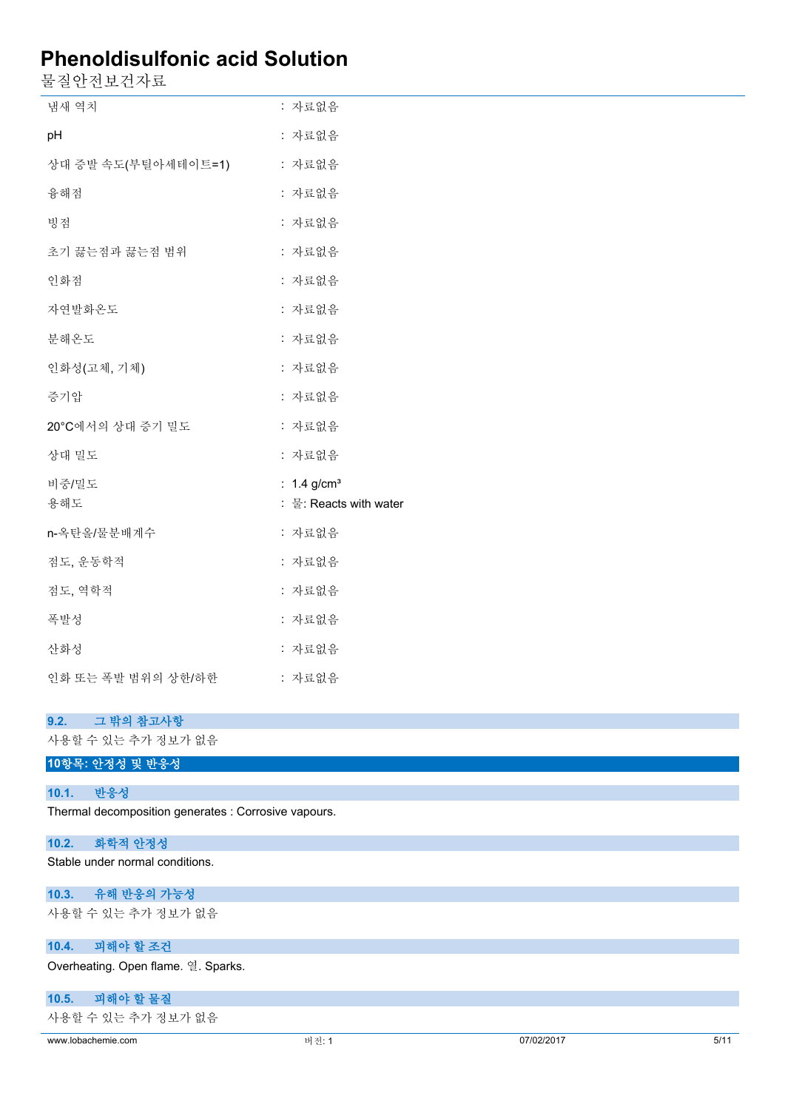물질안전보건자료

| 냄새 역치               | : 자료없음                    |
|---------------------|---------------------------|
| pH                  | : 자료없음                    |
| 상대 증발 속도(부틸아세테이트=1) | : 자료없음                    |
| 융해점                 | : 자료없음                    |
| 빙점                  | : 자료없음                    |
| 초기 끓는점과 끓는점 범위      | : 자료없음                    |
| 인화점                 | : 자료없음                    |
| 자연발화온도              | : 자료없음                    |
| 분해온도                | : 자료없음                    |
| 인화성(고체, 기체)         | : 자료없음                    |
| 증기압                 | : 자료없음                    |
| 20°C에서의 상대 증기 밀도    | : 자료없음                    |
| 상대 밀도               | : 자료없음                    |
| 비중/밀도               | : $1.4$ g/cm <sup>3</sup> |
| 용해도                 | : 물: Reacts with water    |
| n-옥탄올/물분배계수         | : 자료없음                    |
| 점도, 운동학적            | : 자료없음                    |
| 점도, 역학적             | : 자료없음                    |
| 폭발성                 | : 자료없음                    |
| 산화성                 | : 자료없음                    |
| 인화 또는 폭발 범위의 상한/하한  | : 자료없음                    |
|                     |                           |

## **9.2. 그 밖의 참고사항**

사용할 수 있는 추가 정보가 없음

## **10항목: 안정성 및 반응성**

#### **10.1. 반응성**

Thermal decomposition generates : Corrosive vapours.

## **10.2. 화학적 안정성**

Stable under normal conditions.

## **10.3. 유해 반응의 가능성**

사용할 수 있는 추가 정보가 없음

## **10.4. 피해야 할 조건**

Overheating. Open flame. 열. Sparks.

## **10.5. 피해야 할 물질**

사용할 수 있는 추가 정보가 없음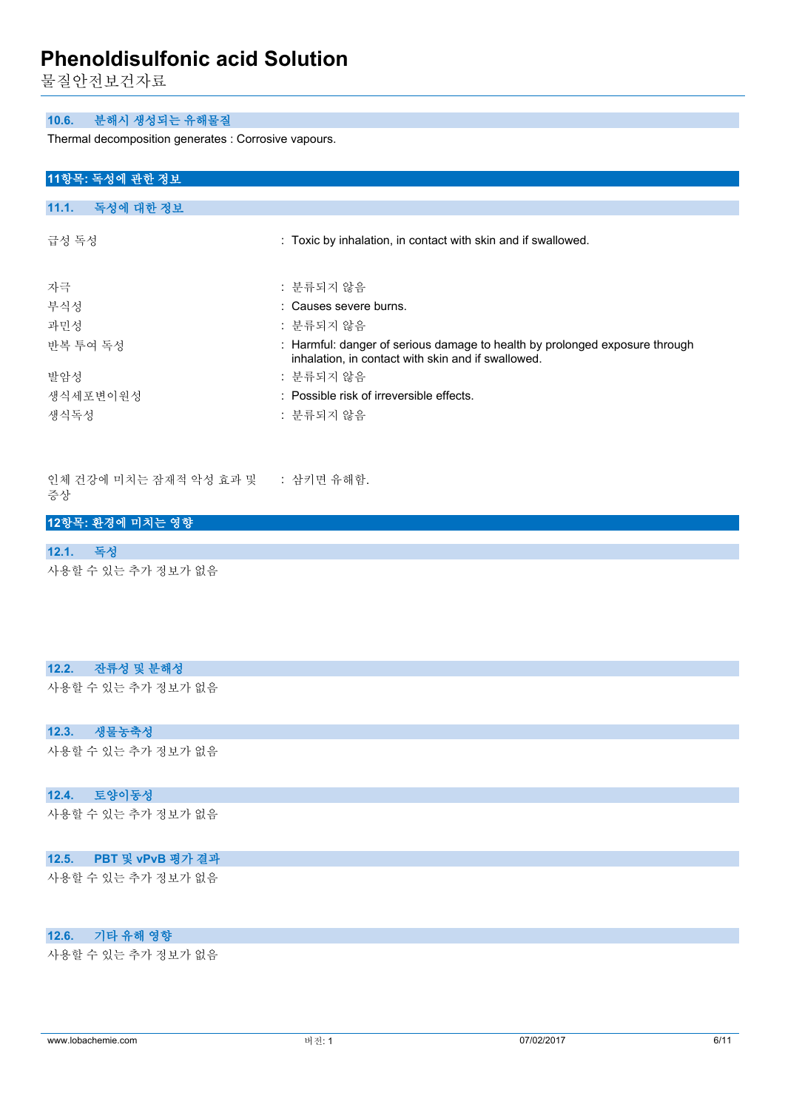물질안전보건자료

#### **10.6. 분해시 생성되는 유해물질**

Thermal decomposition generates : Corrosive vapours.

#### **11항목: 독성에 관한 정보**

#### **11.1. 독성에 대한 정보**

| 급성 독성    | : Toxic by inhalation, in contact with skin and if swallowed.                                                                     |
|----------|-----------------------------------------------------------------------------------------------------------------------------------|
| 자극       | : 분류되지 않음                                                                                                                         |
| 부식성      | : Causes severe burns.                                                                                                            |
| 과민성      | : 분류되지 않음                                                                                                                         |
| 반복 투여 독성 | : Harmful: danger of serious damage to health by prolonged exposure through<br>inhalation, in contact with skin and if swallowed. |
| 발암성      | : 분류되지 않음                                                                                                                         |
| 생식세포변이원성 | : Possible risk of irreversible effects.                                                                                          |
| 생식독성     | : 분류되지 않음                                                                                                                         |

인체 건강에 미치는 잠재적 악성 효과 및 증상 : 삼키면 유해함.

#### **12항목: 환경에 미치는 영향**

#### **12.1. 독성**

사용할 수 있는 추가 정보가 없음

#### **12.2. 잔류성 및 분해성**

사용할 수 있는 추가 정보가 없음

#### **12.3. 생물농축성**

사용할 수 있는 추가 정보가 없음

#### **12.4. 토양이동성**

사용할 수 있는 추가 정보가 없음

#### **12.5. PBT 및 vPvB 평가 결과**

사용할 수 있는 추가 정보가 없음

#### **12.6. 기타 유해 영향**

사용할 수 있는 추가 정보가 없음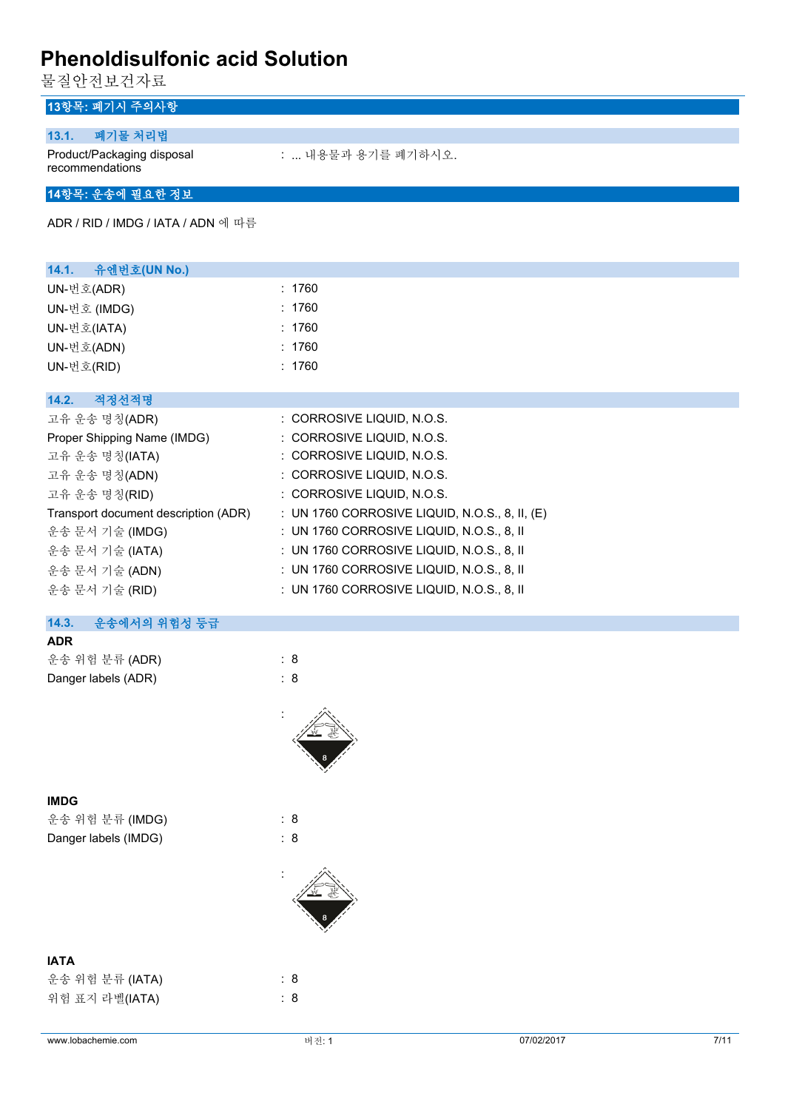물질안전보건자료

## **13항목: 폐기시 주의사항**

#### **13.1. 폐기물 처리법**

Product/Packaging disposal recommendations

: ... 내용물과 용기를 폐기하시오.

#### **14항목: 운송에 필요한 정보**

ADR / RID / IMDG / IATA / ADN 에 따름

| 14.1. 유엔번호(UN No.) |        |
|--------------------|--------|
| UN-번호(ADR)         | : 1760 |
| UN-번호 (IMDG)       | : 1760 |
| UN-번호(IATA)        | : 1760 |
| UN-번호(ADN)         | : 1760 |
| UN-번호(RID)         | : 1760 |
|                    |        |

#### **14.2. 적정선적명**

| 고유 운송 명칭(ADR)                        | : CORROSIVE LIQUID, N.O.S.                       |
|--------------------------------------|--------------------------------------------------|
| Proper Shipping Name (IMDG)          | : CORROSIVE LIQUID, N.O.S.                       |
| 고유 운송 명칭(IATA)                       | : CORROSIVE LIQUID, N.O.S.                       |
| 고유 운송 명칭(ADN)                        | : CORROSIVE LIQUID, N.O.S.                       |
| 고유 운송 명칭(RID)                        | : CORROSIVE LIQUID, N.O.S.                       |
| Transport document description (ADR) | : UN 1760 CORROSIVE LIQUID, N.O.S., 8, II, $(E)$ |
| 운송 문서 기술 (IMDG)                      | : UN 1760 CORROSIVE LIQUID, N.O.S., 8, II        |
| 운송 문서 기술 (IATA)                      | : UN 1760 CORROSIVE LIQUID, N.O.S., 8, II        |
| 운송 문서 기술 (ADN)                       | : UN 1760 CORROSIVE LIQUID, N.O.S., 8, II        |
| 운송 문서 기술 (RID)                       | : UN 1760 CORROSIVE LIQUID, N.O.S., 8, II        |

#### **14.3. 운송에서의 위험성 등급**

| <b>ADR</b>          |     |  |
|---------------------|-----|--|
| 운송 위험 분류 (ADR)      | :8  |  |
| Danger labels (ADR) | : 8 |  |
|                     |     |  |

:

## **IMDG**

운송 위험 분류 (IMDG) : 8 Danger labels (IMDG) : 8

# :

#### **IATA**

| 운송 위험 분류 (IATA) | : 8 |
|-----------------|-----|
| 위험 표지 라벨(IATA)  | : 8 |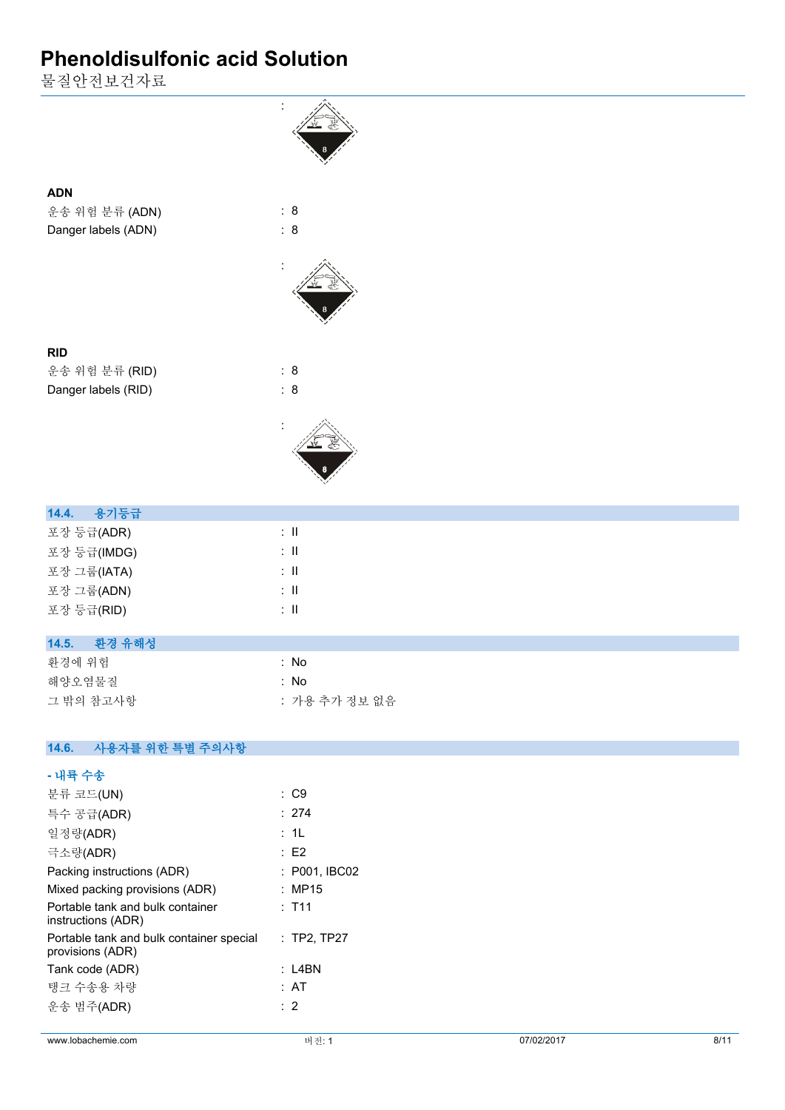물질안전보건자료



| 14.5. | 환경 유해성 |  |  |
|-------|--------|--|--|
|-------|--------|--|--|

| 화경에 위험    | : No          |
|-----------|---------------|
| 해양오염물질    | ∴ No          |
| 그 밖의 참고사항 | : 가용 추가 정보 없음 |

#### **14.6. 사용자를 위한 특별 주의사항**

| - 내륙 수송                                                                  |                 |
|--------------------------------------------------------------------------|-----------------|
| 분류 코드(UN)                                                                | $\therefore$ C9 |
| 특수 공급(ADR)                                                               | : 274           |
| 일정량(ADR)                                                                 | : 1L            |
| 극소량(ADR)                                                                 | E2              |
| Packing instructions (ADR)                                               | : P001, IBC02   |
| Mixed packing provisions (ADR)                                           | : MP15          |
| Portable tank and bulk container<br>instructions (ADR)                   | : T11           |
| Portable tank and bulk container special : TP2, TP27<br>provisions (ADR) |                 |
| Tank code (ADR)                                                          | :I 4BN          |
| 탱크 수송용 차량                                                                | : AT            |
| 운송 범주(ADR)                                                               | : 2             |
|                                                                          |                 |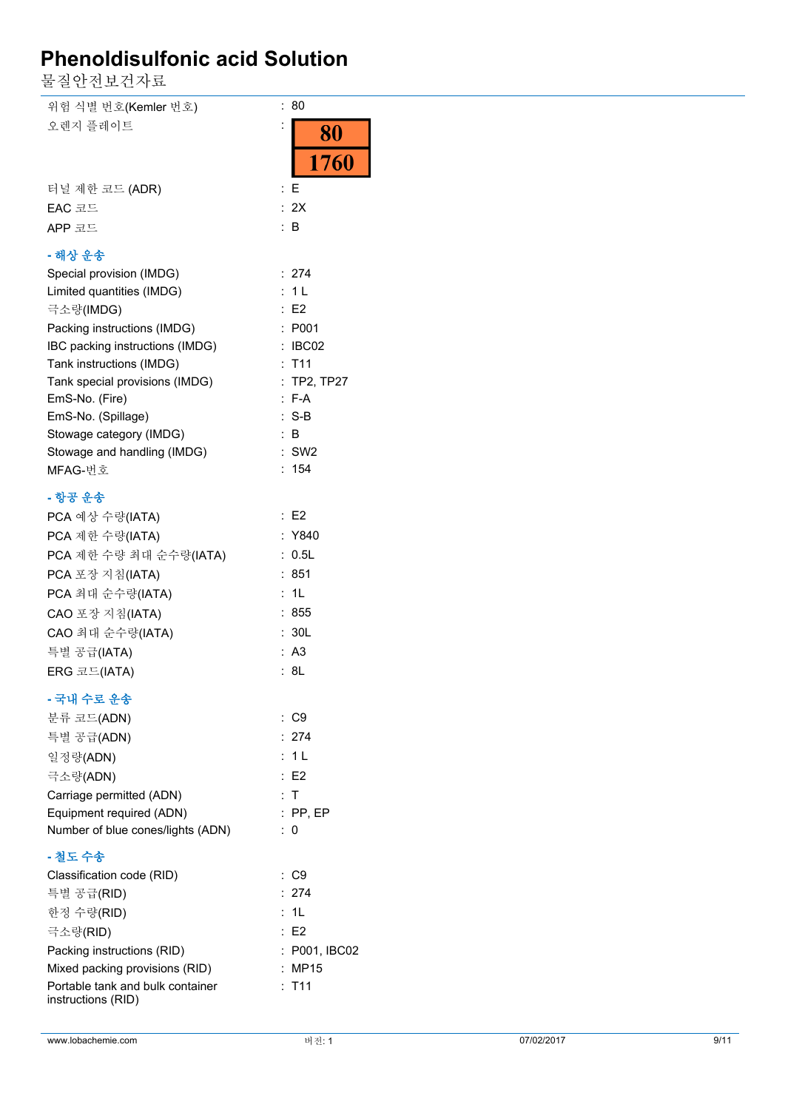물질안전보건자료

| 위험 식별 번호(Kemler 번호)                                  | : 80                   |            |      |
|------------------------------------------------------|------------------------|------------|------|
| 오렌지 플레이트                                             | 80                     |            |      |
|                                                      |                        |            |      |
|                                                      | 1760                   |            |      |
| 터널 제한 코드 (ADR)                                       | $E_{\rm E}$            |            |      |
| EAC 코드                                               | : 2X                   |            |      |
| APP 코드                                               | $\therefore$ B         |            |      |
|                                                      |                        |            |      |
| - 해상 운송                                              |                        |            |      |
| Special provision (IMDG)                             | : 274                  |            |      |
| Limited quantities (IMDG)                            | : 1L                   |            |      |
| 극소량(IMDG)                                            | $\therefore$ E2        |            |      |
| Packing instructions (IMDG)                          | : P001                 |            |      |
| IBC packing instructions (IMDG)                      | : IBC02                |            |      |
| Tank instructions (IMDG)                             | : T11                  |            |      |
| Tank special provisions (IMDG)                       | : TP2, TP27<br>$: F-A$ |            |      |
| EmS-No. (Fire)<br>EmS-No. (Spillage)                 | $: S-B$                |            |      |
| Stowage category (IMDG)                              | $\therefore$ B         |            |      |
| Stowage and handling (IMDG)                          | $:$ SW2                |            |      |
| MFAG-번호                                              | : 154                  |            |      |
|                                                      |                        |            |      |
| - 항공 운송                                              |                        |            |      |
| PCA 예상 수량(IATA)                                      | $\therefore$ E2        |            |      |
| PCA 제한 수량(IATA)                                      | : Y840                 |            |      |
| PCA 제한 수량 최대 순수량(IATA)                               | : 0.5L                 |            |      |
| PCA 포장 지침(IATA)                                      | : 851                  |            |      |
| PCA 최대 순수량(IATA)                                     | : 1L                   |            |      |
| CAO 포장 지침(IATA)                                      | : 855                  |            |      |
| CAO 최대 순수량(IATA)                                     | : 30L                  |            |      |
| 특별 공급(IATA)                                          | : A3                   |            |      |
| ERG 코드(IATA)                                         | : 8L                   |            |      |
| - 국내 수로 운송                                           |                        |            |      |
| 분류 코드(ADN)                                           | : C9                   |            |      |
| 특별 공급(ADN)                                           | : 274                  |            |      |
| 일정량(ADN)                                             | : 1L                   |            |      |
|                                                      | $\therefore$ E2        |            |      |
| 극소량(ADN)                                             | : T                    |            |      |
| Carriage permitted (ADN)<br>Equipment required (ADN) | $:$ PP, EP             |            |      |
| Number of blue cones/lights (ADN)                    | $\therefore$ 0         |            |      |
|                                                      |                        |            |      |
| - 철도 수송                                              |                        |            |      |
| Classification code (RID)                            | $\therefore$ C9        |            |      |
| 특별 공급(RID)                                           | : 274                  |            |      |
| 한정 수량(RID)                                           | : 1L                   |            |      |
| 극소량(RID)                                             | $\therefore$ E2        |            |      |
| Packing instructions (RID)                           | : P001, IBC02          |            |      |
| Mixed packing provisions (RID)                       | : MP15                 |            |      |
| Portable tank and bulk container                     | : T11                  |            |      |
| instructions (RID)                                   |                        |            |      |
|                                                      |                        |            |      |
| www.lobachemie.com                                   | 버전: 1                  | 07/02/2017 | 9/11 |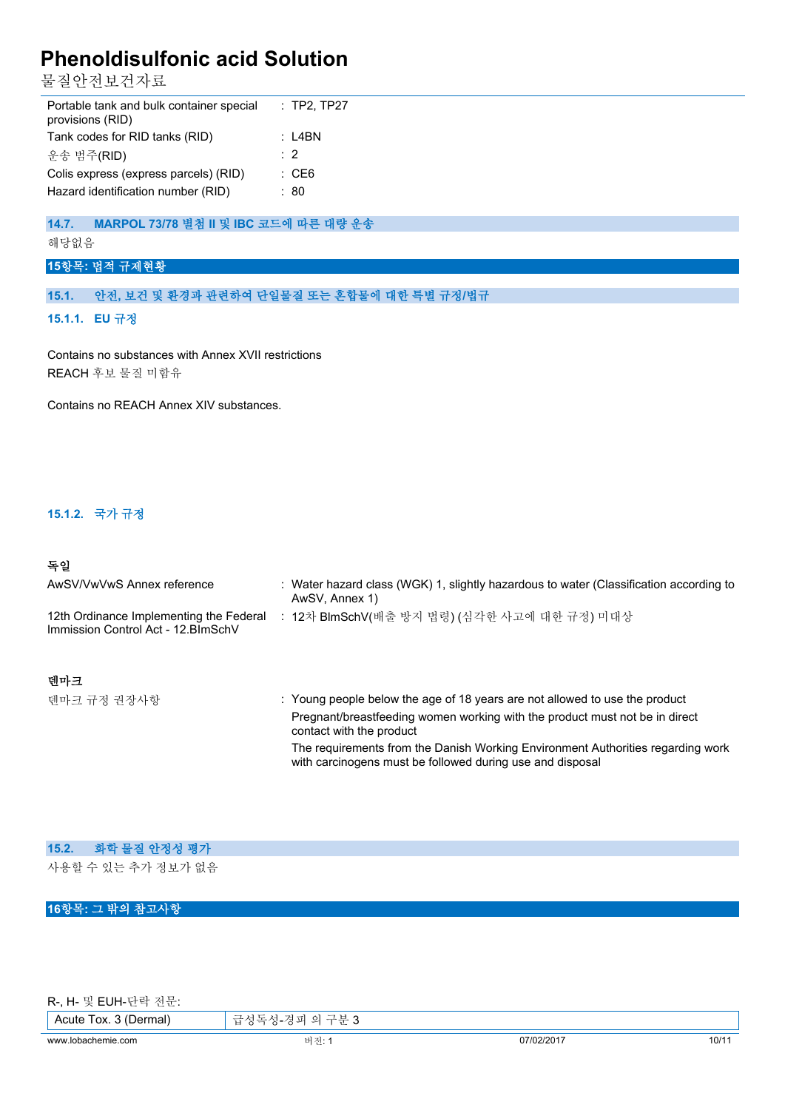물질안전보건자료

| Portable tank and bulk container special<br>provisions (RID) | $:$ TP2, TP27    |
|--------------------------------------------------------------|------------------|
| Tank codes for RID tanks (RID)                               | : L4BN           |
| 운송 범주(RID)                                                   | $\cdot$ 2        |
| Colis express (express parcels) (RID)                        | $\therefore$ CE6 |
| Hazard identification number (RID)                           | : 80             |

## **14.7. MARPOL 73/78 별첨 II 및 IBC 코드에 따른 대량 운송**

#### 해당없음

## **15항목: 법적 규제현황**

#### **15.1. 안전, 보건 및 환경과 관련하여 단일물질 또는 혼합물에 대한 특별 규정/법규**

#### **15.1.1. EU 규정**

Contains no substances with Annex XVII restrictions REACH 후보 물질 미함유

Contains no REACH Annex XIV substances.

#### **15.1.2. 국가 규정**

## **독일**

| AwSV/VwVwS Annex reference                                                     | : Water hazard class (WGK) 1, slightly hazardous to water (Classification according to<br>AwSV, Annex 1)                                                                               |
|--------------------------------------------------------------------------------|----------------------------------------------------------------------------------------------------------------------------------------------------------------------------------------|
| 12th Ordinance Implementing the Federal<br>Immission Control Act - 12. BlmSchV | 12차 BlmSchV(배출 방지 법령) (심각한 사고에 대한 규정) 미대상                                                                                                                                              |
| 덴마크                                                                            |                                                                                                                                                                                        |
| 덴마크 규정 권장사항                                                                    | : Young people below the age of 18 years are not allowed to use the product<br>Pregnant/breastfeeding women working with the product must not be in direct<br>contact with the product |

The requirements from the Danish Working Environment Authorities regarding work with carcinogens must be followed during use and disposal

| 15.2. 화학 물질 안정성 평가 |
|--------------------|
| 사용할 수 있는 추가 정보가 없음 |
|                    |

## **16항목: 그 밖의 참고사항**

|  |  |  | R-, H- 및 EUH-단락 전문: |  |  |
|--|--|--|---------------------|--|--|
|--|--|--|---------------------|--|--|